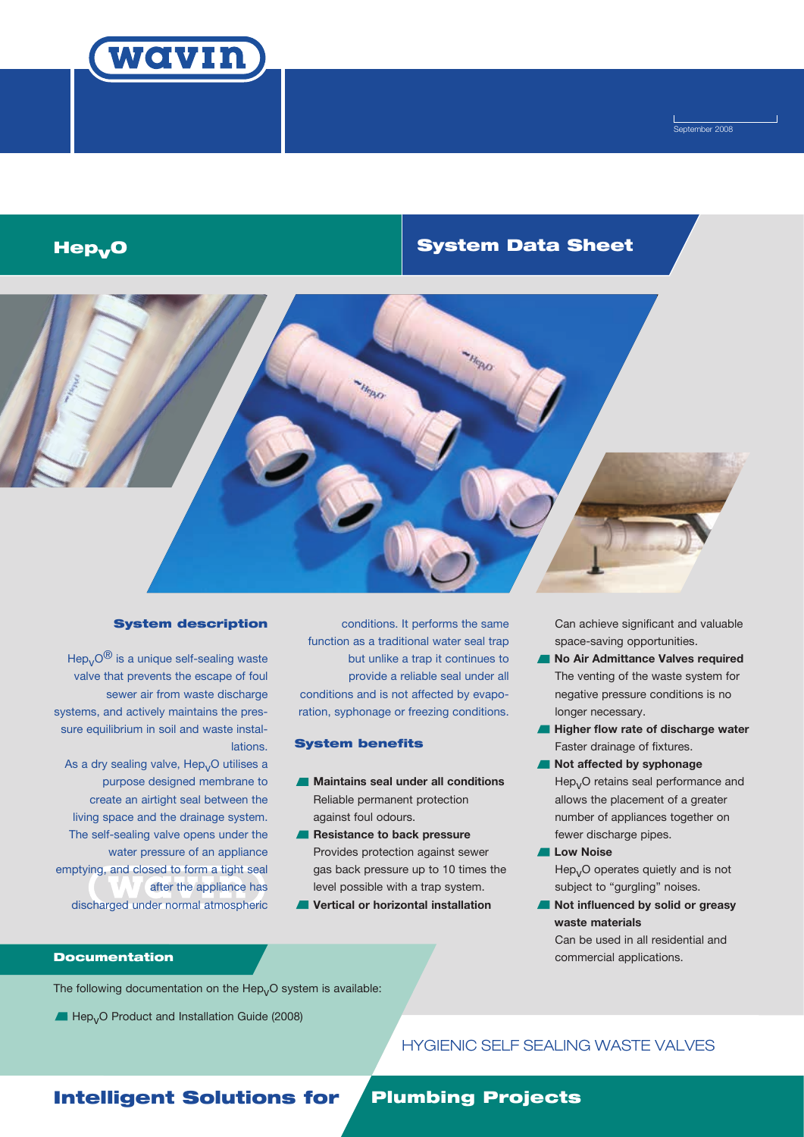

Í September 2008

## Hep System Data Sheet vO



### System description

Hep<sub>v</sub> $O^{\circledR}$  is a unique self-sealing waste valve that prevents the escape of foul sewer air from waste discharge systems, and actively maintains the pressure equilibrium in soil and waste installations.

As a dry sealing valve,  $\text{Hep}_V\text{O}$  utilises a purpose designed membrane to create an airtight seal between the living space and the drainage system. The self-sealing valve opens under the water pressure of an appliance emptying, and closed to form a tight seal after the appliance has discharged under normal atmospheric

conditions. It performs the same function as a traditional water seal trap but unlike a trap it continues to provide a reliable seal under all conditions and is not affected by evaporation, syphonage or freezing conditions.

### System benefits

- **Maintains seal under all conditions** Reliable permanent protection against foul odours.
- **A** Resistance to back pressure Provides protection against sewer gas back pressure up to 10 times the level possible with a trap system.
- **Vertical or horizontal installation**

Can achieve significant and valuable space-saving opportunities.

- **No Air Admittance Valves required**  The venting of the waste system for negative pressure conditions is no longer necessary.
- $\blacksquare$  **Higher flow rate of discharge water** Faster drainage of fixtures.
- **Not affected by syphonage** Hep<sub>v</sub>O retains seal performance and allows the placement of a greater number of appliances together on fewer discharge pipes.
- **Low Noise**  $Hep<sub>v</sub>O$  operates quietly and is not subject to "gurgling" noises.
- **Not influenced by solid or greasy waste materials** Can be used in all residential and commercial applications.

## **Documentation**

The following documentation on the  $\text{Hep}_VO$  system is available:

Hep<sub>v</sub>O Product and Installation Guide (2008)

## HYGIENIC SELF SEALING WASTE VALVES

## **Intelligent Solutions for Plumbing Projects**